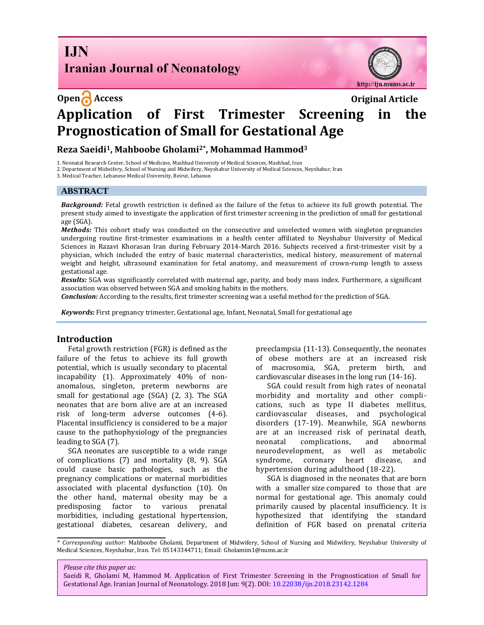**I.IN Iranian Journal of Neonatology** 



# **Open Access Original Article Application of First Trimester Screening in the Prognostication of Small for Gestational Age**

**Reza Saeidi1, Mahboobe Gholami2\*, Mohammad Hammod<sup>3</sup>**

1. Neonatal Research Center, School of Medicine, Mashhad University of Medical Sciences, Mashhad, Iran

2. Department of Midwifery, School of Nursing and Midwifery, Neyshabur University of Medical Sciences, Neyshabur, Iran

3. Medical Teacher, Lebanese Medical University, Beirut, Lebanon

#### **ABSTRACT**

*Background:* Fetal growth restriction is defined as the failure of the fetus to achieve its full growth potential. The present study aimed to investigate the application of first trimester screening in the prediction of small for gestational age (SGA).

*Methods:* This cohort study was conducted on the consecutive and unselected women with singleton pregnancies undergoing routine first-trimester examinations in a health center affiliated to Neyshabur University of Medical Sciences in Razavi Khorasan Iran during February 2014-March 2016. Subjects received a first-trimester visit by a physician, which included the entry of basic maternal characteristics, medical history, measurement of maternal weight and height, ultrasound examination for fetal anatomy, and measurement of crown-rump length to assess gestational age.

*Results:* SGA was significantly correlated with maternal age, parity, and body mass index. Furthermore, a significant association was observed between SGA and smoking habits in the mothers.

*Conclusion:* According to the results, first trimester screening was a useful method for the prediction of SGA.

*Keywords:* First pregnancy trimester, Gestational age[, Infant, Neonatal, Small for gestational age](https://www.ncbi.nlm.nih.gov/mesh/68007236)

## **Introduction**

Fetal growth restriction (FGR) is defined as the failure of the fetus to achieve its full growth potential, which is usually secondary to placental incapability (1). Approximately 40% of nonanomalous, singleton, preterm newborns are small for gestational age (SGA) [\(2,](http://journals.plos.org/plosone/article?id=10.1371/journal.pone.0169311#pone.0169311.ref001) [3\)](http://journals.plos.org/plosone/article?id=10.1371/journal.pone.0169311#pone.0169311.ref002). The SGA neonates that are born alive are at an increased risk of long-term adverse outcomes (4[-6\)](http://journals.plos.org/plosone/article?id=10.1371/journal.pone.0169311#pone.0169311.ref005). Placental insufficiency is considered to be a major cause to the pathophysiology of the pregnancies leading to SGA [\(7\)](http://journals.plos.org/plosone/article?id=10.1371/journal.pone.0169311#pone.0169311.ref006).

SGA neonates are susceptible to a wide range of complications [\(7\)](http://onlinelibrary.wiley.com/doi/10.1111/ppe.12333/full#ppe12333-bib-0003) and mortality [\(8,](http://onlinelibrary.wiley.com/doi/10.1111/ppe.12333/full#ppe12333-bib-0004) 9). SGA could cause basic pathologies, such as the pregnancy complications or maternal morbidities associated with placental dysfunction (10). On the other hand, maternal obesity may be a predisposing factor to various prenatal morbidities, including gestational hypertension, gestational diabetes, cesarean delivery, and preeclampsia (11-13). Consequently, the neonates of obese mothers are at an increased risk of macrosomia, SGA, preterm birth, and cardiovascular diseases in the long run (14-16).

SGA could result from high rates of neonatal morbidity and mortality and other complications, such as type II diabetes mellitus, cardiovascular diseases, and psychological disorders (17-19). Meanwhile, SGA newborns are at an increased risk of perinatal death, neonatal complications, and abnormal neurodevelopment, as well as metabolic syndrome, coronary heart disease, and hypertension during adulthood (18-22).

SGA is diagnosed in the neonates that are born with a smaller size compared to those that are normal for gestational age. This anomaly could primarily caused by placental insufficiency. It is hypothesized that identifying the standard definition of FGR based on prenatal criteria

*\* Corresponding author*: Mahboobe Gholami, Department of Midwifery, School of Nursing and Midwifery, Neyshabur University of Medical Sciences, Neyshabur, Iran. Tel: 05143344711; Email: Gholamim1@nums.ac.ir

Saeidi R, Gholami M, Hammod M. Application of First Trimester Screening in the Prognostication of Small for Gestational Age. Iranian Journal of Neonatology. 2018 Jun: 9(2). DOI[: 10.22038/ijn.2018.23142.1284](http://ijn.mums.ac.ir/)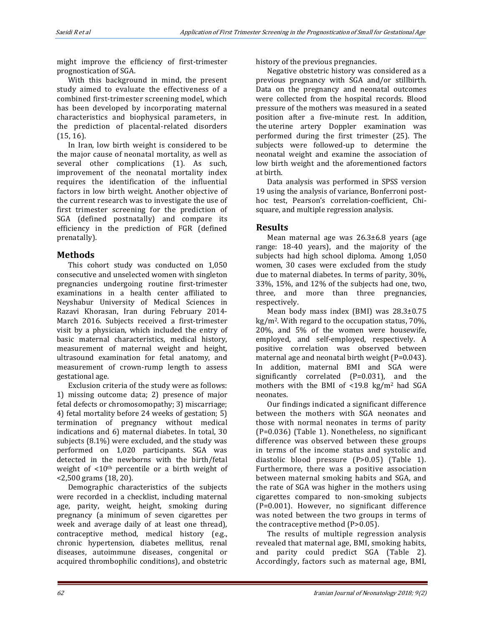might improve the efficiency of first-trimester prognostication of SGA.

With this background in mind, the present study aimed to evaluate the effectiveness of a combined first-trimester screening model, which has been developed by incorporating maternal characteristics and biophysical parameters, in the prediction of placental-related disorders (15, 16).

In Iran, low birth weight is considered to be the major cause of neonatal mortality, as well as several other complications (1). As such, improvement of the neonatal mortality index requires the identification of the influential factors in low birth weight. Another objective of the current research was to investigate the use of first trimester screening for the prediction of SGA (defined postnatally) and compare its efficiency in the prediction of FGR (defined prenatally).

# **Methods**

This cohort study was conducted on 1,050 consecutive and unselected women with singleton pregnancies undergoing routine first-trimester examinations in a health center affiliated to Neyshabur University of Medical Sciences in Razavi Khorasan, Iran during February 2014- March 2016. Subjects received a first-trimester visit by a physician, which included the entry of basic maternal characteristics, medical history, measurement of maternal weight and height, ultrasound examination for fetal anatomy, and measurement of crown-rump length to assess gestational age.

Exclusion criteria of the study were as follows: 1) missing outcome data; 2) presence of major fetal defects or chromosomopathy; 3) miscarriage; 4) fetal mortality before 24 weeks of gestation; 5) termination of pregnancy without medical indications and 6) maternal diabetes. In total, 30 subjects (8.1%) were excluded, and the study was performed on 1,020 participants. SGA was detected in the newborns with the birth/fetal weight of <10th percentile or a birth weight of <2,500 grams (18, 20).

Demographic characteristics of the subjects were recorded in a checklist, including maternal age, parity, weight, height, smoking during pregnancy (a minimum of seven cigarettes per week and average daily of at least one thread), contraceptive method, medical history (e.g., chronic hypertension, diabetes mellitus, renal diseases, autoimmune diseases, congenital or acquired thrombophilic conditions), and obstetric history of the previous pregnancies.

Negative obstetric history was considered as a previous pregnancy with SGA and/or stillbirth. Data on the pregnancy and neonatal outcomes were collected from the hospital records. Blood pressure of the mothers was measured in a seated position after a five-minute rest. In addition, the uterine artery Doppler examination was performed during the first trimester (25). The subjects were followed-up to determine the neonatal weight and examine the association of low birth weight and the aforementioned factors at birth.

Data analysis was performed in SPSS version 19 using the analysis of variance, Bonferroni posthoc test, Pearson's correlation-coefficient, Chisquare, and multiple regression analysis.

# **Results**

Mean maternal age was 26.3±6.8 years (age range: 18-40 years), and the majority of the subjects had high school diploma. Among 1,050 women, 30 cases were excluded from the study due to maternal diabetes. In terms of parity, 30%, 33%, 15%, and 12% of the subjects had one, two, three, and more than three pregnancies, respectively.

Mean body mass index (BMI) was 28.3±0.75 kg/m2. With regard to the occupation status, 70%, 20%, and 5% of the women were housewife, employed, and self-employed, respectively. A positive correlation was observed between maternal age and neonatal birth weight (P=0.043). In addition, maternal BMI and SGA were significantly correlated (P=0.031), and the mothers with the BMI of  $\langle 19.8 \text{ kg/m}^2 \rangle$  had SGA neonates.

Our findings indicated a significant difference between the mothers with SGA neonates and those with normal neonates in terms of parity (P=0.036) (Table 1). Nonetheless, no significant difference was observed between these groups in terms of the income status and systolic and diastolic blood pressure (P>0.05) (Table 1). Furthermore, there was a positive association between maternal smoking habits and SGA, and the rate of SGA was higher in the mothers using cigarettes compared to non-smoking subjects (P=0.001). However, no significant difference was noted between the two groups in terms of the contraceptive method (P>0.05).

The results of multiple regression analysis revealed that maternal age, BMI, smoking habits, and parity could predict SGA (Table 2). Accordingly, factors such as maternal age, BMI,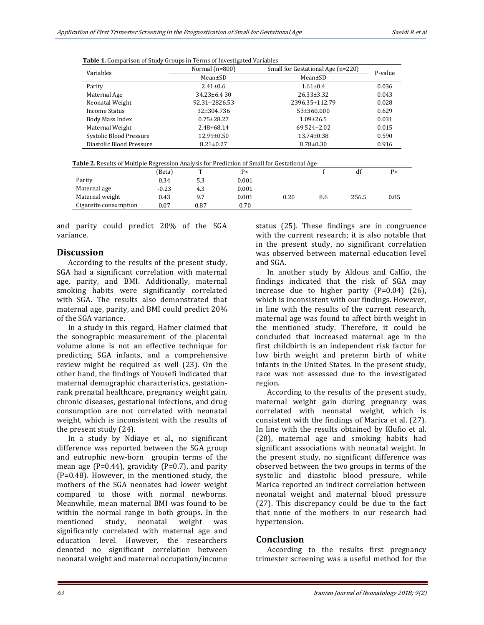|  |  | <b>Table 1.</b> Comparison of Study Groups in Terms of Investigated Variables |
|--|--|-------------------------------------------------------------------------------|
|  |  |                                                                               |

| Variables                | Normal $(n=800)$    | Small for Gestational Age (n=220) | P-value |
|--------------------------|---------------------|-----------------------------------|---------|
|                          | Mean±SD             | Mean±SD                           |         |
| Parity                   | $2.41 \pm 0.6$      | $1.61 \pm 0.4$                    | 0.036   |
| Maternal Age             | $34.23 \pm 6.430$   | $26.33 \pm 3.32$                  | 0.043   |
| Neonatal Weight          | $92.31 \pm 2826.53$ | 2396.35±112.79                    | 0.028   |
| Income Status            | 32±304.736          | $53 \pm 360.000$                  | 0.629   |
| Body Mass Index          | $0.75 \pm 28.27$    | $1.09 \pm 26.5$                   | 0.031   |
| Maternal Weight          | $2.48 \pm 68.14$    | $69.524 \pm 2.02$                 | 0.015   |
| Systolic Blood Pressure  | $12.99 \pm 0.50$    | $13.74 \pm 0.38$                  | 0.590   |
| Diastolic Blood Pressure | $8.21 \pm 0.27$     | $8.78 \pm 0.30$                   | 0.916   |

| <b>Table 2.</b> Results of Multiple Regression Analysis for Prediction of Small for Gestational Age |
|-----------------------------------------------------------------------------------------------------|
|-----------------------------------------------------------------------------------------------------|

|                       | 'Beta)  | m    | P<    |      |     |       | P<   |
|-----------------------|---------|------|-------|------|-----|-------|------|
| Parity                | 0.34    | 5.3  | 0.001 |      |     |       |      |
| Maternal age          | $-0.23$ | 4.3  | 0.001 |      |     |       |      |
| Maternal weight       | 0.43    | 9.7  | 0.001 | 0.20 | 8.6 | 256.5 | 0.05 |
| Cigarette consumption | 0.07    | 0.87 | 0.70  |      |     |       |      |

and parity could predict 20% of the SGA variance.

# **Discussion**

According to the results of the present study, SGA had a significant correlation with maternal age, parity, and BMI. Additionally, maternal smoking habits were significantly correlated with SGA. The results also demonstrated that maternal age, parity, and BMI could predict 20% of the SGA variance.

In a study in this regard, [Hafner](https://obgyn.onlinelibrary.wiley.com/action/doSearch?ContribAuthorStored=Hafner%2C+E) claimed that the sonograpbic measurement of the placental volume alone is not an effective technique for predicting SGA infants, and a comprehensive review might be required as well (23). On the other hand, the findings of Yousefi indicated that maternal demographic characteristics, gestationrank prenatal healthcare, pregnancy weight gain, chronic diseases, gestational infections, and drug consumption are not correlated with neonatal weight, which is inconsistent with the results of the present study (24).

In a study by Ndiaye et al., no significant difference was reported between the SGA group and eutrophic new-born groupin terms of the mean age ( $P=0.44$ ), gravidity ( $P=0.7$ ), and parity (P=0.48). However, in the mentioned study, the mothers of the SGA neonates had lower weight compared to those with normal newborns. Meanwhile, mean maternal BMI was found to be within the normal range in both groups. In the mentioned study, neonatal weight was significantly correlated with maternal age and education level. However, the researchers denoted no significant correlation between neonatal weight and maternal occupation/income

status (25). These findings are in congruence with the current research; it is also notable that in the present study, no significant correlation was observed between maternal education level and SGA.

In another study by Aldous and Calfio, the findings indicated that the risk of SGA may increase due to higher parity (P=0.04) (26), which is inconsistent with our findings. However, in line with the results of the current research, maternal age was found to affect birth weight in the mentioned study. Therefore, it could be concluded that increased maternal age in the first childbirth is an independent risk factor for low birth weight and preterm birth of white infants in the United States. In the present study, race was not assessed due to the investigated region.

According to the results of the present study, maternal weight gain during pregnancy was correlated with neonatal weight, which is consistent with the findings of Marica et al. (27). In line with the results obtained by Klufio et al. (28), maternal age and smoking habits had significant associations with neonatal weight. In the present study, no significant difference was observed between the two groups in terms of the systolic and diastolic blood pressure, while Marica reported an indirect correlation between neonatal weight and maternal blood pressure (27). This discrepancy could be due to the fact that none of the mothers in our research had hypertension.

## **Conclusion**

According to the results first pregnancy trimester screening was a useful method for the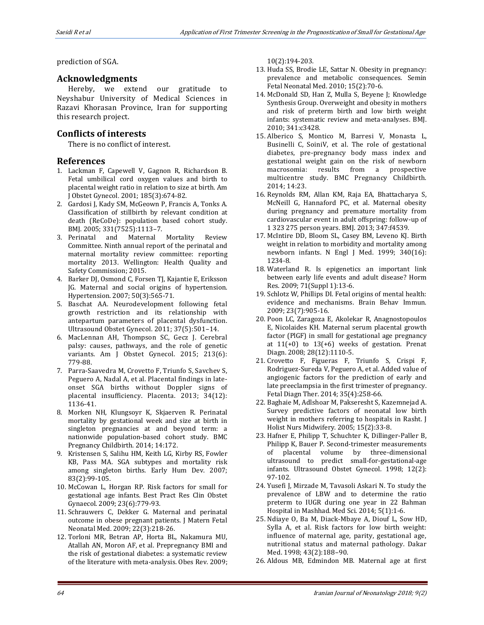prediction of SGA.

## **Acknowledgments**

Hereby, we extend our gratitude to Neyshabur University of Medical Sciences in Razavi Khorasan Province, Iran for supporting this research project.

# **Conflicts of interests**

There is no conflict of interest**.**

## **References**

- 1. Lackman F, Capewell V, Gagnon R, Richardson B. Fetal umbilical cord oxygen values and birth to placental weight ratio in relation to size at birth. Am J Obstet Gynecol. 2001; 185(3):674-82.
- 2. Gardosi J, Kady SM, McGeown P, Francis A, Tonks A. Classification of stillbirth by relevant condition at death (ReCoDe): population based cohort study. BMJ. 2005; 331(7525):1113–7.
- 3. Perinatal and Maternal Mortality Review Committee. Ninth annual report of the perinatal and maternal mortality review committee: reporting mortality 2013. Wellington: Health Quality and Safety Commission; 2015.
- 4. Barker DJ, Osmond C, Forsen TJ, Kajantie E, Eriksson JG. Maternal and social origins of hypertension. Hypertension. 2007; 50(3):565-71.
- 5. Baschat AA. Neurodevelopment following fetal growth restriction and its relationship with antepartum parameters of placental dysfunction. Ultrasound Obstet Gynecol. 2011; 37(5):501–14.
- 6. MacLennan AH, Thompson SC, Gecz J. Cerebral palsy: causes, pathways, and the role of genetic variants. Am J Obstet Gynecol. 2015; 213(6): 779-88.
- 7. Parra-Saavedra M, Crovetto F, Triunfo S, Savchev S, Peguero A, Nadal A, et al. Placental findings in lateonset SGA births without Doppler signs of placental insufficiency. Placenta. 2013; 34(12): 1136-41.
- 8. Morken NH, Klungsoyr K, Skjaerven R. Perinatal mortality by gestational week and size at birth in singleton pregnancies at and beyond term: a nationwide population-based cohort study. BMC Pregnancy Childbirth. 2014; 14:172.
- 9. Kristensen S, Salihu HM, Keith LG, Kirby RS, Fowler KB, Pass MA. SGA subtypes and mortality risk among singleton births. Early Hum Dev. 2007; 83(2):99-105.
- 10. McCowan L, Horgan RP. Risk factors for small for gestational age infants. Best Pract Res Clin Obstet Gynaecol. 2009; 23(6):779-93.
- 11. Schrauwers C, Dekker G. Maternal and perinatal outcome in obese pregnant patients. J Matern Fetal Neonatal Med. 2009; 22(3):218-26.
- 12. Torloni MR, Betran AP, Horta BL, Nakamura MU, Atallah AN, Moron AF, et al. Prepregnancy BMI and the risk of gestational diabetes: a systematic review of the literature with meta-analysis. Obes Rev. 2009;

10(2):194-203.

- 13. Huda SS, Brodie LE, Sattar N. Obesity in pregnancy: prevalence and metabolic consequences. Semin Fetal Neonatal Med. 2010; 15(2):70-6.
- 14. McDonald SD, Han Z, Mulla S, Beyene J; Knowledge Synthesis Group. Overweight and obesity in mothers and risk of preterm birth and low birth weight infants: systematic review and meta-analyses. BMJ. 2010; 341:c3428.
- 15. Alberico S, Montico M, Barresi V, Monasta L, Businelli C, SoiniV, et al. The role of gestational diabetes, pre-pregnancy body mass index and gestational weight gain on the risk of newborn macrosomia: results from a prospective multicentre study. BMC Pregnancy Childbirth. 2014; 14:23.
- 16. Reynolds RM, Allan KM, Raja EA, Bhattacharya S, McNeill G, Hannaford PC, et al. Maternal obesity during pregnancy and premature mortality from cardiovascular event in adult offspring: follow-up of 1 323 275 person years. BMJ. 2013; 347:f4539.
- 17. McIntire DD, Bloom SL, Casey BM, Leveno KJ. Birth weight in relation to morbidity and mortality among newborn infants. N Engl J Med. 1999; 340(16): 1234-8.
- 18. Waterland R. Is epigenetics an important link between early life events and adult disease? Horm Res. 2009; 71(Suppl 1):13-6.
- 19. Schlotz W, Phillips DI. Fetal origins of mental health: evidence and mechanisms. Brain Behav Immun. 2009; 23(7):905-16.
- 20. Poon LC, Zaragoza E, Akolekar R, Anagnostopoulos E, Nicolaides KH. Maternal serum placental growth factor (PlGF) in small for gestational age pregnancy at  $11(+0)$  to  $13(+6)$  weeks of gestation. Prenat Diagn. 2008; 28(12):1110-5.
- 21. Crovetto F, Figueras F, Triunfo S, Crispi F, Rodriguez-Sureda V, Peguero A, et al. Added value of angiogenic factors for the prediction of early and late preeclampsia in the first trimester of pregnancy. Fetal Diagn Ther. 2014; 35(4):258-66.
- 22. Baghaie M, Adlshoar M, Pakseresht S, Kazemnejad A. Survey predictive factors of neonatal low birth weight in mothers referring to hospitals in Rasht. J Holist Nurs Midwifery. 2005; 15(2):33-8.
- 23. Hafner E, Philipp T, Schuchter K, Dillinger‐Paller B, Philipp K, Bauer P. Second‐trimester measurements of placental volume by three‐dimensional ultrasound to predict small‐for‐gestational‐age infants. Ultrasound Obstet Gynecol. 1998; 12(2): 97-102.
- 24. Yusefi J, Mirzade M, Tavasoli Askari N. To study the prevalence of LBW and to determine the ratio preterm to IUGR during one year in 22 Bahman Hospital in Mashhad. Med Sci. 2014; 5(1):1-6.
- 25. Ndiaye O, Ba M, Diack-Mbaye A, Diouf L, Sow HD, Sylla A, et al. Risk factors for low birth weight: influence of maternal age, parity, gestational age, nutritional status and maternal pathology. Dakar Med. 1998; 43(2):188–90.
- 26. Aldous MB, Edmindon MB. Maternal age at first